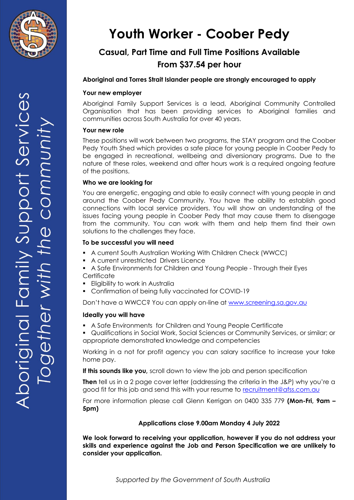

# **Youth Worker - Coober Pedy**

## **Casual, Part Time and Full Time Positions Available From \$37.54 per hour**

### **Aboriginal and Torres Strait Islander people are strongly encouraged to apply**

### **Your new employer**

Aboriginal Family Support Services is a lead, Aboriginal Community Controlled Organisation that has been providing services to Aboriginal families and communities across South Australia for over 40 years.

### **Your new role**

These positions will work between two programs, the STAY program and the Coober Pedy Youth Shed which provides a safe place for young people in Coober Pedy to be engaged in recreational, wellbeing and diversionary programs. Due to the nature of these roles, weekend and after hours work is a required ongoing feature of the positions.

#### **Who we are looking for**

You are energetic, engaging and able to easily connect with young people in and around the Coober Pedy Community. You have the ability to establish good connections with local service providers. You will show an understanding of the issues facing young people in Coober Pedy that may cause them to disengage from the community. You can work with them and help them find their own solutions to the challenges they face.

#### **To be successful you will need**

- A current South Australian Working With Children Check (WWCC)
- A current unrestricted Drivers Licence
- A Safe Environments for Children and Young People Through their Eyes **Certificate**
- **Eligibility to work in Australia**
- Confirmation of being fully vaccinated for COVID-19

Don't have a WWCC? You can apply on-line at [www.screening.sa.gov.au](http://www.screening.sa.gov.au/)

### **Ideally you will have**

A Safe Environments for Children and Young People Certificate

 Qualifications in Social Work, Social Sciences or Community Services, or similar; or appropriate demonstrated knowledge and competencies

Working in a not for profit agency you can salary sacrifice to increase your take home pay.

**If this sounds like you,** scroll down to view the job and person specification

**Then** tell us in a 2 page cover letter (addressing the criteria in the J&P) why you're a good fit for this job and send this with your resume to [recruitment@afss.com.au](mailto:recruitment@afss.com.au)

For more information please call Glenn Kerrigan on 0400 335 779 **(Mon-Fri, 9am – 5pm)**

### **Applications close 9.00am Monday 4 July 2022**

**We look forward to receiving your application, however if you do not address your skills and experience against the Job and Person Specification we are unlikely to consider your application.**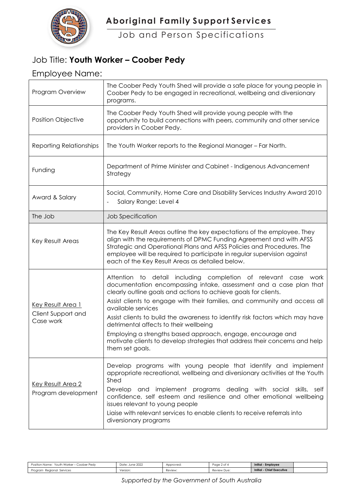

# **Aboriginal Family Support Services**

Job and Person Specifications

### Job Title: **Youth Worker – Coober Pedy**

### Employee Name:

| Program Overview                                            | The Coober Pedy Youth Shed will provide a safe place for young people in<br>Coober Pedy to be engaged in recreational, wellbeing and diversionary<br>programs.                                                                                                                                                                                                                                                                                                                                                                                                                                             |  |  |  |
|-------------------------------------------------------------|------------------------------------------------------------------------------------------------------------------------------------------------------------------------------------------------------------------------------------------------------------------------------------------------------------------------------------------------------------------------------------------------------------------------------------------------------------------------------------------------------------------------------------------------------------------------------------------------------------|--|--|--|
| Position Objective                                          | The Coober Pedy Youth Shed will provide young people with the<br>opportunity to build connections with peers, community and other service<br>providers in Coober Pedy.                                                                                                                                                                                                                                                                                                                                                                                                                                     |  |  |  |
| <b>Reporting Relationships</b>                              | The Youth Worker reports to the Regional Manager - Far North.                                                                                                                                                                                                                                                                                                                                                                                                                                                                                                                                              |  |  |  |
| Funding                                                     | Department of Prime Minister and Cabinet - Indigenous Advancement<br>Strategy                                                                                                                                                                                                                                                                                                                                                                                                                                                                                                                              |  |  |  |
| Award & Salary                                              | Social, Community, Home Care and Disability Services Industry Award 2010<br>Salary Range: Level 4                                                                                                                                                                                                                                                                                                                                                                                                                                                                                                          |  |  |  |
| The Job                                                     | Job Specification                                                                                                                                                                                                                                                                                                                                                                                                                                                                                                                                                                                          |  |  |  |
| Key Result Areas                                            | The Key Result Areas outline the key expectations of the employee. They<br>align with the requirements of DPMC Funding Agreement and with AFSS<br>Strategic and Operational Plans and AFSS Policies and Procedures. The<br>employee will be required to participate in regular supervision against<br>each of the Key Result Areas as detailed below.                                                                                                                                                                                                                                                      |  |  |  |
| <u>Key Result Area 1</u><br>Client Support and<br>Case work | Attention to detail including completion of relevant case<br>work<br>documentation encompassing intake, assessment and a case plan that<br>clearly outline goals and actions to achieve goals for clients.<br>Assist clients to engage with their families, and community and access all<br>available services<br>Assist clients to build the awareness to identify risk factors which may have<br>detrimental affects to their wellbeing<br>Employing a strengths based approach, engage, encourage and<br>motivate clients to develop strategies that address their concerns and help<br>them set goals. |  |  |  |
| <b>Key Result Area 2</b><br>Program development             | Develop programs with young people that identify and implement<br>appropriate recreational, wellbeing and diversionary activities at the Youth<br>Shed<br>Develop and implement programs dealing with social skills, self<br>confidence, self esteem and resilience and other emotional wellbeing<br>issues relevant to young people<br>Ligise with relevant services to enable clients to receive referrals into<br>diversionary programs                                                                                                                                                                 |  |  |  |

| Youth Worker – Coober Pedy<br>Position Name: | Date: June 2022 | Approved: | Page 2 of 4 | Initial - Employee               |  |
|----------------------------------------------|-----------------|-----------|-------------|----------------------------------|--|
| Regional Services<br>Program                 | Version:        | Review:   | Review Due: | <b>Initial - Chief Executive</b> |  |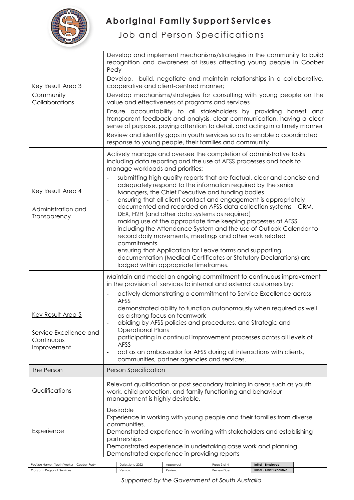

# **Aboriginal Family Support Services**

### Job and Person Specifications

|                                                                        | Develop and implement mechanisms/strategies in the community to build<br>recognition and awareness of issues affecting young people in Coober<br>Pedy                                                                                                                                                                                                            |                                                                                                                                                                         |                            |                                                        |  |
|------------------------------------------------------------------------|------------------------------------------------------------------------------------------------------------------------------------------------------------------------------------------------------------------------------------------------------------------------------------------------------------------------------------------------------------------|-------------------------------------------------------------------------------------------------------------------------------------------------------------------------|----------------------------|--------------------------------------------------------|--|
| <b>Key Result Area 3</b>                                               | Develop, build, negotiate and maintain relationships in a collaborative,<br>cooperative and client-centred manner;                                                                                                                                                                                                                                               |                                                                                                                                                                         |                            |                                                        |  |
| Community<br>Collaborations                                            | Develop mechanisms/strategies for consulting with young people on the<br>value and effectiveness of programs and services                                                                                                                                                                                                                                        |                                                                                                                                                                         |                            |                                                        |  |
|                                                                        | Ensure accountability to all stakeholders by providing honest and<br>transparent feedback and analysis, clear communication, having a clear<br>sense of purpose, paying attention to detail, and acting in a timely manner<br>Review and identify gaps in youth services so as to enable a coordinated<br>response to young people, their families and community |                                                                                                                                                                         |                            |                                                        |  |
|                                                                        | Actively manage and oversee the completion of administrative tasks<br>including data reporting and the use of AFSS processes and tools to<br>manage workloads and priorities:                                                                                                                                                                                    |                                                                                                                                                                         |                            |                                                        |  |
| Key Result Area 4                                                      | submitting high quality reports that are factual, clear and concise and<br>adequately respond to the information required by the senior<br>Managers, the Chief Executive and funding bodies<br>ensuring that all client contact and engagement is appropriately<br>$\blacksquare$                                                                                |                                                                                                                                                                         |                            |                                                        |  |
| Administration and<br>Transparency                                     | documented and recorded on AFSS data collection systems - CRM,<br>DEX, H2H (and other data systems as required)<br>making use of the appropriate time keeping processes at AFSS<br>$\overline{\phantom{a}}$<br>including the Attendance System and the use of Outlook Calendar to<br>record daily movements, meetings and other work related<br>commitments      |                                                                                                                                                                         |                            |                                                        |  |
|                                                                        |                                                                                                                                                                                                                                                                                                                                                                  | ensuring that Application for Leave forms and supporting<br>documentation (Medical Certificates or Statutory Declarations) are<br>lodged within appropriate timeframes. |                            |                                                        |  |
|                                                                        | Maintain and model an ongoing commitment to continuous improvement<br>in the provision of services to internal and external customers by:                                                                                                                                                                                                                        |                                                                                                                                                                         |                            |                                                        |  |
|                                                                        | AFSS                                                                                                                                                                                                                                                                                                                                                             | actively demonstrating a commitment to Service Excellence across                                                                                                        |                            |                                                        |  |
| Key Result Area 5                                                      | demonstrated ability to function autonomously when required as well<br>as a strong focus on teamwork                                                                                                                                                                                                                                                             |                                                                                                                                                                         |                            |                                                        |  |
| Service Excellence and                                                 | abiding by AFSS policies and procedures, and Strategic and<br><b>Operational Plans</b><br>participating in continual improvement processes across all levels of                                                                                                                                                                                                  |                                                                                                                                                                         |                            |                                                        |  |
| Continuous<br>Improvement                                              | AFSS<br>$\overline{\phantom{a}}$                                                                                                                                                                                                                                                                                                                                 | act as an ambassador for AFSS during all interactions with clients,<br>communities, partner agencies and services.                                                      |                            |                                                        |  |
| The Person                                                             | <b>Person Specification</b>                                                                                                                                                                                                                                                                                                                                      |                                                                                                                                                                         |                            |                                                        |  |
| Qualifications                                                         | Relevant qualification or post secondary training in areas such as youth<br>work, child protection, and family functioning and behaviour<br>management is highly desirable.                                                                                                                                                                                      |                                                                                                                                                                         |                            |                                                        |  |
| Experience                                                             | Desirable<br>Experience in working with young people and their families from diverse<br>communities.<br>Demonstrated experience in working with stakeholders and establishing<br>partnerships<br>Demonstrated experience in undertaking case work and planning<br>Demonstrated experience in providing reports                                                   |                                                                                                                                                                         |                            |                                                        |  |
| Position Name: Youth Worker - Coober Pedy<br>Program Regional Services | Date: June 2022<br>Version:                                                                                                                                                                                                                                                                                                                                      | Approved:<br>Review                                                                                                                                                     | Page 3 of 4<br>Review Due: | Initial - Employee<br><b>Initial - Chief Executive</b> |  |

*Supported by the Government of South Australia*